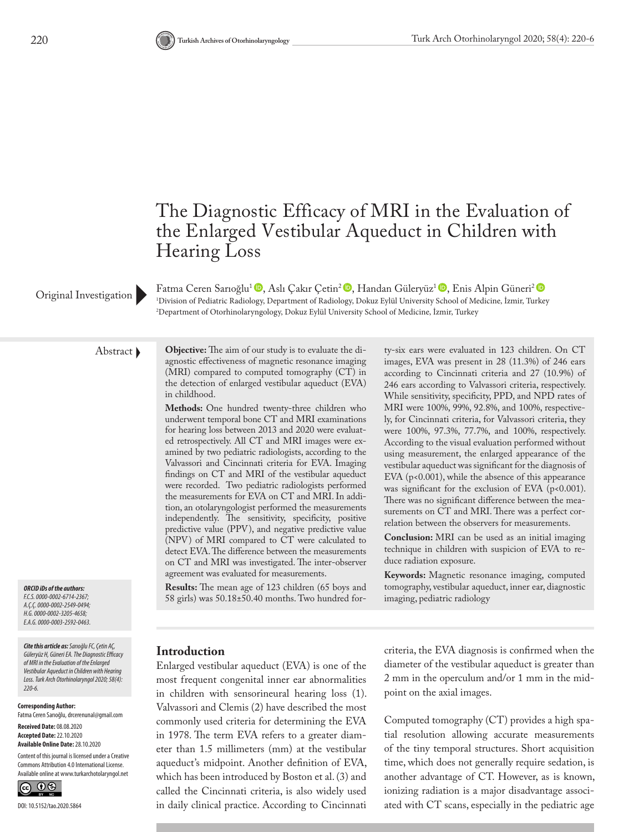# The Diagnostic Efficacy of MRI in the Evaluation of the Enlarged Vestibular Aqueduct in Children with Hearing Loss

Fatma Ceren Sarıoğlu<sup>1</sup><sup>®</sup>, Aslı Çakır Çetin<sup>2</sup> ®, Handan Güleryüz<sup>1</sup> ®, Enis Alpin Güneri<sup>2</sup> ® 1 Division of Pediatric Radiology, Department of Radiology, Dokuz Eylül University School of Medicine, İzmir, Turkey 2 Department of Otorhinolaryngology, Dokuz Eylül University School of Medicine, İzmir, Turkey

Original Investigation

*ORCID iDs of the authors: F.C.S. 0000-0002-6714-2367; A.Ç.Ç. 0000-0002-2549-0494; H.G. 0000-0002-3205-4658; E.A.G. 0000-0003-2592-0463.*

*Cite this article as: Sarıoğlu FC, Çetin AÇ, Güleryüz H, Güneri EA. The Diagnostic Efficacy of MRI in the Evaluation of the Enlarged Vestibular Aqueduct in Children with Hearing Loss. Turk Arch Otorhinolaryngol 2020; 58(4): 220-6.*

#### **Corresponding Author:**

Fatma Ceren Sarıoğlu, drcerenunal@gmail.com

**Received Date:** 08.08.2020 **Accepted Date:** 22.10.2020 **Available Online Date:** 28.10.2020

Content of this journal is licensed under a Creative Commons Attribution 4.0 International License. Available online at www.turkarchotolaryngol.net



Abstract **Objective:** The aim of our study is to evaluate the diagnostic effectiveness of magnetic resonance imaging (MRI) compared to computed tomography (CT) in the detection of enlarged vestibular aqueduct (EVA) in childhood.

> **Methods:** One hundred twenty-three children who underwent temporal bone CT and MRI examinations for hearing loss between 2013 and 2020 were evaluated retrospectively. All CT and MRI images were examined by two pediatric radiologists, according to the Valvassori and Cincinnati criteria for EVA. Imaging findings on CT and MRI of the vestibular aqueduct were recorded. Two pediatric radiologists performed the measurements for EVA on CT and MRI. In addition, an otolaryngologist performed the measurements independently. The sensitivity, specificity, positive predictive value (PPV), and negative predictive value (NPV) of MRI compared to CT were calculated to detect EVA. The difference between the measurements on CT and MRI was investigated. The inter-observer agreement was evaluated for measurements.

**Results:** The mean age of 123 children (65 boys and 58 girls) was 50.18±50.40 months. Two hundred forty-six ears were evaluated in 123 children. On CT images, EVA was present in 28 (11.3%) of 246 ears according to Cincinnati criteria and 27 (10.9%) of 246 ears according to Valvassori criteria, respectively. While sensitivity, specificity, PPD, and NPD rates of MRI were 100%, 99%, 92.8%, and 100%, respectively, for Cincinnati criteria, for Valvassori criteria, they were 100%, 97.3%, 77.7%, and 100%, respectively. According to the visual evaluation performed without using measurement, the enlarged appearance of the vestibular aqueduct was significant for the diagnosis of EVA (p<0.001), while the absence of this appearance was significant for the exclusion of EVA (p<0.001). There was no significant difference between the measurements on CT and MRI. There was a perfect correlation between the observers for measurements.

**Conclusion:** MRI can be used as an initial imaging technique in children with suspicion of EVA to reduce radiation exposure.

**Keywords:** Magnetic resonance imaging, computed tomography, vestibular aqueduct, inner ear, diagnostic imaging, pediatric radiology

#### **Introduction**

Enlarged vestibular aqueduct (EVA) is one of the most frequent congenital inner ear abnormalities in children with sensorineural hearing loss (1). Valvassori and Clemis (2) have described the most commonly used criteria for determining the EVA in 1978. The term EVA refers to a greater diameter than 1.5 millimeters (mm) at the vestibular aqueduct's midpoint. Another definition of EVA, which has been introduced by Boston et al. (3) and called the Cincinnati criteria, is also widely used in daily clinical practice. According to Cincinnati

criteria, the EVA diagnosis is confirmed when the diameter of the vestibular aqueduct is greater than 2 mm in the operculum and/or 1 mm in the midpoint on the axial images.

Computed tomography (CT) provides a high spatial resolution allowing accurate measurements of the tiny temporal structures. Short acquisition time, which does not generally require sedation, is another advantage of CT. However, as is known, ionizing radiation is a major disadvantage associated with CT scans, especially in the pediatric age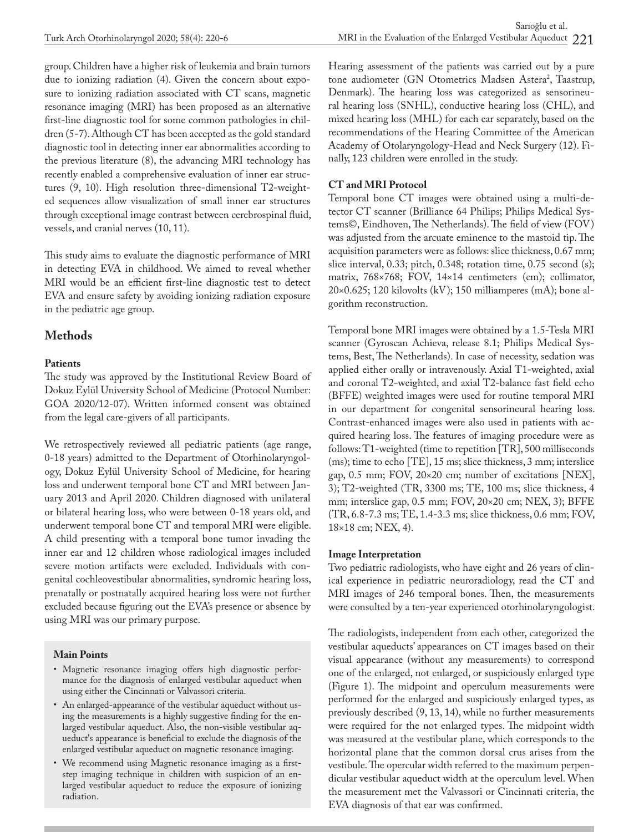group. Children have a higher risk of leukemia and brain tumors due to ionizing radiation (4). Given the concern about exposure to ionizing radiation associated with CT scans, magnetic resonance imaging (MRI) has been proposed as an alternative first-line diagnostic tool for some common pathologies in children (5-7). Although CT has been accepted as the gold standard diagnostic tool in detecting inner ear abnormalities according to the previous literature (8), the advancing MRI technology has recently enabled a comprehensive evaluation of inner ear structures (9, 10). High resolution three-dimensional T2-weighted sequences allow visualization of small inner ear structures through exceptional image contrast between cerebrospinal fluid, vessels, and cranial nerves (10, 11).

This study aims to evaluate the diagnostic performance of MRI in detecting EVA in childhood. We aimed to reveal whether MRI would be an efficient first-line diagnostic test to detect EVA and ensure safety by avoiding ionizing radiation exposure in the pediatric age group.

# **Methods**

#### **Patients**

The study was approved by the Institutional Review Board of Dokuz Eylül University School of Medicine (Protocol Number: GOA 2020/12-07). Written informed consent was obtained from the legal care-givers of all participants.

We retrospectively reviewed all pediatric patients (age range, 0-18 years) admitted to the Department of Otorhinolaryngology, Dokuz Eylül University School of Medicine, for hearing loss and underwent temporal bone CT and MRI between January 2013 and April 2020. Children diagnosed with unilateral or bilateral hearing loss, who were between 0-18 years old, and underwent temporal bone CT and temporal MRI were eligible. A child presenting with a temporal bone tumor invading the inner ear and 12 children whose radiological images included severe motion artifacts were excluded. Individuals with congenital cochleovestibular abnormalities, syndromic hearing loss, prenatally or postnatally acquired hearing loss were not further excluded because figuring out the EVA's presence or absence by using MRI was our primary purpose.

#### **Main Points**

- Magnetic resonance imaging offers high diagnostic performance for the diagnosis of enlarged vestibular aqueduct when using either the Cincinnati or Valvassori criteria.
- An enlarged-appearance of the vestibular aqueduct without using the measurements is a highly suggestive finding for the enlarged vestibular aqueduct. Also, the non-visible vestibular aqueduct's appearance is beneficial to exclude the diagnosis of the enlarged vestibular aqueduct on magnetic resonance imaging.
- We recommend using Magnetic resonance imaging as a firststep imaging technique in children with suspicion of an enlarged vestibular aqueduct to reduce the exposure of ionizing radiation.

Hearing assessment of the patients was carried out by a pure tone audiometer (GN Otometrics Madsen Astera<sup>2</sup>, Taastrup, Denmark). The hearing loss was categorized as sensorineural hearing loss (SNHL), conductive hearing loss (CHL), and mixed hearing loss (MHL) for each ear separately, based on the recommendations of the Hearing Committee of the American Academy of Otolaryngology-Head and Neck Surgery (12). Finally, 123 children were enrolled in the study.

### **CT and MRI Protocol**

Temporal bone CT images were obtained using a multi-detector CT scanner (Brilliance 64 Philips; Philips Medical Systems©, Eindhoven, The Netherlands). The field of view (FOV) was adjusted from the arcuate eminence to the mastoid tip. The acquisition parameters were as follows: slice thickness, 0.67 mm; slice interval, 0.33; pitch, 0.348; rotation time, 0.75 second (s); matrix, 768×768; FOV, 14×14 centimeters (cm); collimator, 20×0.625; 120 kilovolts (kV); 150 milliamperes (mA); bone algorithm reconstruction.

Temporal bone MRI images were obtained by a 1.5-Tesla MRI scanner (Gyroscan Achieva, release 8.1; Philips Medical Systems, Best, The Netherlands). In case of necessity, sedation was applied either orally or intravenously. Axial T1-weighted, axial and coronal T2-weighted, and axial T2-balance fast field echo (BFFE) weighted images were used for routine temporal MRI in our department for congenital sensorineural hearing loss. Contrast-enhanced images were also used in patients with acquired hearing loss. The features of imaging procedure were as follows: T1-weighted (time to repetition [TR], 500 milliseconds (ms); time to echo [TE], 15 ms; slice thickness, 3 mm; interslice gap, 0.5 mm; FOV, 20×20 cm; number of excitations [NEX], 3); T2-weighted (TR, 3300 ms; TE, 100 ms; slice thickness, 4 mm; interslice gap, 0.5 mm; FOV, 20×20 cm; NEX, 3); BFFE (TR, 6.8-7.3 ms; TE, 1.4-3.3 ms; slice thickness, 0.6 mm; FOV, 18×18 cm; NEX, 4).

### **Image Interpretation**

Two pediatric radiologists, who have eight and 26 years of clinical experience in pediatric neuroradiology, read the CT and MRI images of 246 temporal bones. Then, the measurements were consulted by a ten-year experienced otorhinolaryngologist.

The radiologists, independent from each other, categorized the vestibular aqueducts' appearances on CT images based on their visual appearance (without any measurements) to correspond one of the enlarged, not enlarged, or suspiciously enlarged type (Figure 1). The midpoint and operculum measurements were performed for the enlarged and suspiciously enlarged types, as previously described (9, 13, 14), while no further measurements were required for the not enlarged types. The midpoint width was measured at the vestibular plane, which corresponds to the horizontal plane that the common dorsal crus arises from the vestibule. The opercular width referred to the maximum perpendicular vestibular aqueduct width at the operculum level. When the measurement met the Valvassori or Cincinnati criteria, the EVA diagnosis of that ear was confirmed.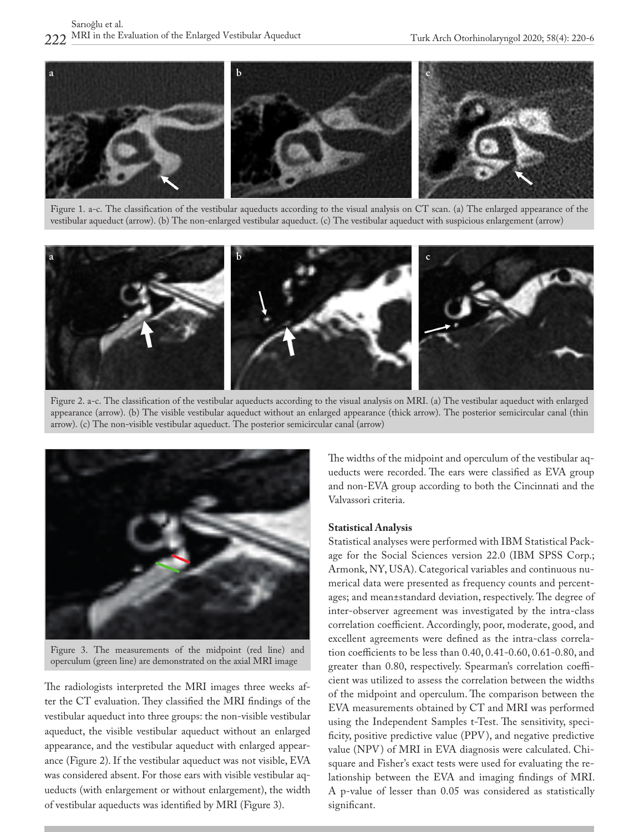

Figure 1. a-c. The classification of the vestibular aqueducts according to the visual analysis on CT scan. (a) The enlarged appearance of the vestibular aqueduct (arrow). (b) The non-enlarged vestibular aqueduct. (c) The vestibular aqueduct with suspicious enlargement (arrow)



Figure 2. a-c. The classification of the vestibular aqueducts according to the visual analysis on MRI. (a) The vestibular aqueduct with enlarged appearance (arrow). (b) The visible vestibular aqueduct without an enlarged appearance (thick arrow). The posterior semicircular canal (thin arrow). (c) The non-visible vestibular aqueduct. The posterior semicircular canal (arrow)



Figure 3. The measurements of the midpoint (red line) and operculum (green line) are demonstrated on the axial MRI image

The radiologists interpreted the MRI images three weeks after the CT evaluation. They classified the MRI findings of the vestibular aqueduct into three groups: the non-visible vestibular aqueduct, the visible vestibular aqueduct without an enlarged appearance, and the vestibular aqueduct with enlarged appearance (Figure 2). If the vestibular aqueduct was not visible, EVA was considered absent. For those ears with visible vestibular aqueducts (with enlargement or without enlargement), the width of vestibular aqueducts was identified by MRI (Figure 3).

The widths of the midpoint and operculum of the vestibular aqueducts were recorded. The ears were classified as EVA group and non-EVA group according to both the Cincinnati and the Valvassori criteria.

#### **Statistical Analysis**

Statistical analyses were performed with IBM Statistical Package for the Social Sciences version 22.0 (IBM SPSS Corp.; Armonk, NY, USA). Categorical variables and continuous numerical data were presented as frequency counts and percentages; and mean±standard deviation, respectively. The degree of inter-observer agreement was investigated by the intra-class correlation coefficient. Accordingly, poor, moderate, good, and excellent agreements were defined as the intra-class correlation coefficients to be less than 0.40, 0.41-0.60, 0.61-0.80, and greater than 0.80, respectively. Spearman's correlation coefficient was utilized to assess the correlation between the widths of the midpoint and operculum. The comparison between the EVA measurements obtained by CT and MRI was performed using the Independent Samples t-Test. The sensitivity, specificity, positive predictive value (PPV), and negative predictive value (NPV) of MRI in EVA diagnosis were calculated. Chisquare and Fisher's exact tests were used for evaluating the relationship between the EVA and imaging findings of MRI. A p-value of lesser than 0.05 was considered as statistically significant.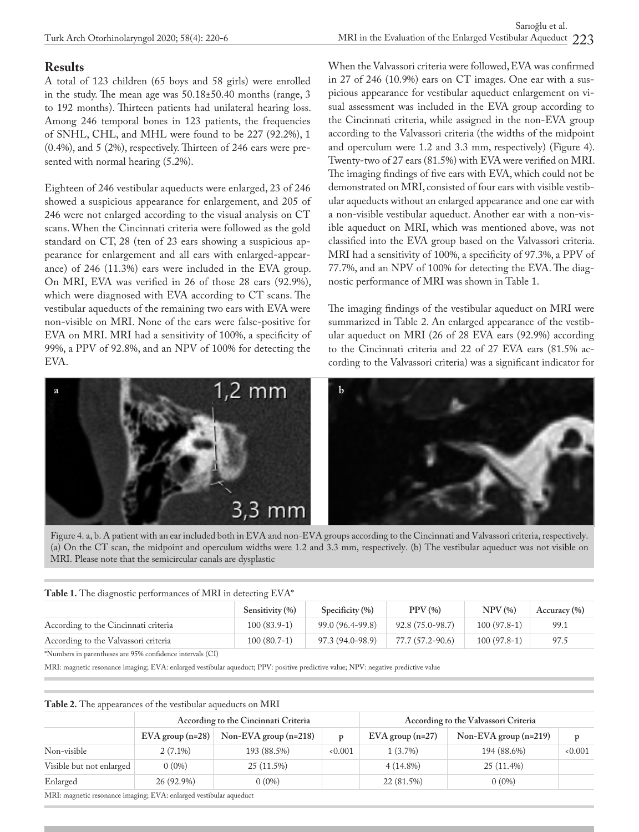# **Results**

A total of 123 children (65 boys and 58 girls) were enrolled in the study. The mean age was 50.18±50.40 months (range, 3 to 192 months). Thirteen patients had unilateral hearing loss. Among 246 temporal bones in 123 patients, the frequencies of SNHL, CHL, and MHL were found to be 227 (92.2%), 1 (0.4%), and 5 (2%), respectively. Thirteen of 246 ears were presented with normal hearing (5.2%).

Eighteen of 246 vestibular aqueducts were enlarged, 23 of 246 showed a suspicious appearance for enlargement, and 205 of 246 were not enlarged according to the visual analysis on CT scans. When the Cincinnati criteria were followed as the gold standard on CT, 28 (ten of 23 ears showing a suspicious appearance for enlargement and all ears with enlarged-appearance) of 246 (11.3%) ears were included in the EVA group. On MRI, EVA was verified in 26 of those 28 ears (92.9%), which were diagnosed with EVA according to CT scans. The vestibular aqueducts of the remaining two ears with EVA were non-visible on MRI. None of the ears were false-positive for EVA on MRI. MRI had a sensitivity of 100%, a specificity of 99%, a PPV of 92.8%, and an NPV of 100% for detecting the EVA.

When the Valvassori criteria were followed, EVA was confirmed in 27 of 246 (10.9%) ears on CT images. One ear with a suspicious appearance for vestibular aqueduct enlargement on visual assessment was included in the EVA group according to the Cincinnati criteria, while assigned in the non-EVA group according to the Valvassori criteria (the widths of the midpoint and operculum were 1.2 and 3.3 mm, respectively) (Figure 4). Twenty-two of 27 ears (81.5%) with EVA were verified on MRI. The imaging findings of five ears with EVA, which could not be demonstrated on MRI, consisted of four ears with visible vestibular aqueducts without an enlarged appearance and one ear with a non-visible vestibular aqueduct. Another ear with a non-visible aqueduct on MRI, which was mentioned above, was not classified into the EVA group based on the Valvassori criteria. MRI had a sensitivity of 100%, a specificity of 97.3%, a PPV of 77.7%, and an NPV of 100% for detecting the EVA. The diagnostic performance of MRI was shown in Table 1.

The imaging findings of the vestibular aqueduct on MRI were summarized in Table 2. An enlarged appearance of the vestibular aqueduct on MRI (26 of 28 EVA ears (92.9%) according to the Cincinnati criteria and 22 of 27 EVA ears (81.5% according to the Valvassori criteria) was a significant indicator for



Figure 4. a, b. A patient with an ear included both in EVA and non-EVA groups according to the Cincinnati and Valvassori criteria, respectively. (a) On the CT scan, the midpoint and operculum widths were 1.2 and 3.3 mm, respectively. (b) The vestibular aqueduct was not visible on MRI. Please note that the semicircular canals are dysplastic

| Table 1. The diagnostic performances of MRI in detecting EVA* |                     |                     |                     |               |              |  |  |  |
|---------------------------------------------------------------|---------------------|---------------------|---------------------|---------------|--------------|--|--|--|
|                                                               | Sensitivity $(\% )$ | Specificity $(\% )$ | PPV(%)              | NPV(%)        | Accuracy (%) |  |  |  |
| According to the Cincinnati criteria                          | $100(83.9-1)$       | 99.0 (96.4-99.8)    | $92.8(75.0 - 98.7)$ | $100(97.8-1)$ | 99.1         |  |  |  |
| According to the Valvassori criteria                          | 100 (80.7-1)        | 97.3 (94.0-98.9)    | 77.7 (57.2-90.6)    | $100(97.8-1)$ | 97.5         |  |  |  |

\*Numbers in parentheses are 95% confidence intervals (CI)

MRI: magnetic resonance imaging; EVA: enlarged vestibular aqueduct; PPV: positive predictive value; NPV: negative predictive value

|                          | According to the Cincinnati Criteria |                         |       | According to the Valvassori Criteria |                         |       |
|--------------------------|--------------------------------------|-------------------------|-------|--------------------------------------|-------------------------|-------|
|                          | $EVA$ group (n=28)                   | Non-EVA group $(n=218)$ | p     | $EVA$ group (n=27)                   | Non-EVA group $(n=219)$ | p     |
| Non-visible              | $2(7.1\%)$                           | 193 (88.5%)             | 0.001 | $1(3.7\%)$                           | 194 (88.6%)             | 0.001 |
| Visible but not enlarged | $0(0\%)$                             | 25 (11.5%)              |       | $4(14.8\%)$                          | 25 (11.4%)              |       |
| Enlarged                 | 26 (92.9%)                           | $0(0\%)$                |       | 22 (81.5%)                           | $0(0\%)$                |       |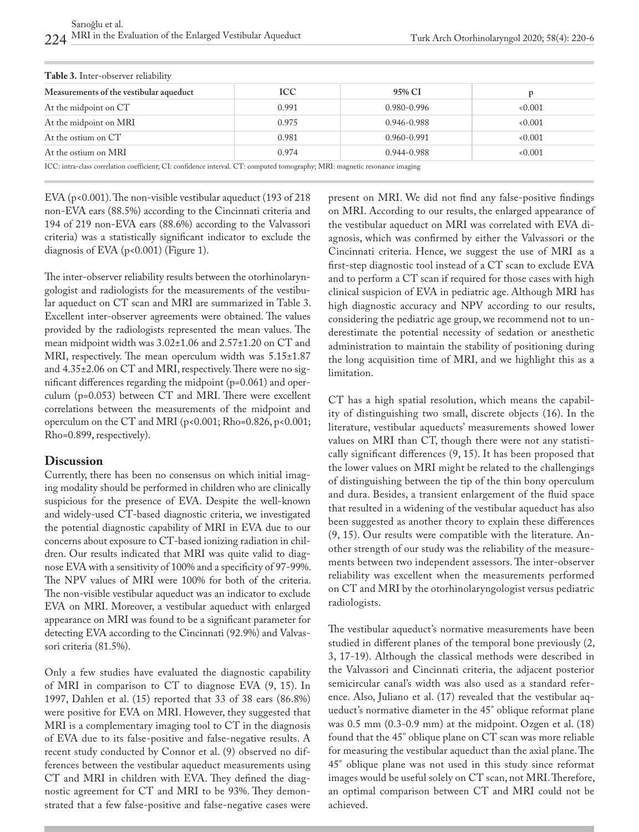| Table 3. Inter-observer reliability                                                                                                                                                                                           |            |                 |       |  |  |  |
|-------------------------------------------------------------------------------------------------------------------------------------------------------------------------------------------------------------------------------|------------|-----------------|-------|--|--|--|
| Measurements of the vestibular aqueduct                                                                                                                                                                                       | <b>ICC</b> | 95% CI          |       |  |  |  |
| At the midpoint on CT                                                                                                                                                                                                         | 0.991      | 0.980-0.996     | 0.001 |  |  |  |
| At the midpoint on MRI                                                                                                                                                                                                        | 0.975      | 0.946-0.988     | 0.001 |  |  |  |
| At the ostium on CT                                                                                                                                                                                                           | 0.981      | $0.960 - 0.991$ | 0.001 |  |  |  |
| At the ostium on MRI                                                                                                                                                                                                          | 0.974      | $0.944 - 0.988$ | 0.001 |  |  |  |
| TOO FILM THE ORDER OF A PARTICLE AND THE RESIDENCE OF A PARTICLE OF A PARTICLE OF A PARTICLE OF A PARTICLE OF A PARTICLE OF A PARTICLE OF A PARTICLE OF A PARTICLE OF A PARTICLE OF A PARTICLE OF A PARTICLE OF A PARTICLE OF |            |                 |       |  |  |  |

ICC: intra-class correlation coefficient; CI: confidence interval. CT: computed tomography; MRI: magnetic resonance imaging

EVA ( $p$ <0.001). The non-visible vestibular aqueduct (193 of 218 non-EVA ears (88.5%) according to the Cincinnati criteria and 194 of 219 non-EVA ears (88.6%) according to the Valvassori criteria) was a statistically significant indicator to exclude the diagnosis of EVA (p<0.001) (Figure 1).

The inter-observer reliability results between the otorhinolaryngologist and radiologists for the measurements of the vestibular aqueduct on CT scan and MRI are summarized in Table 3. Excellent inter-observer agreements were obtained. The values provided by the radiologists represented the mean values. The mean midpoint width was 3.02±1.06 and 2.57±1.20 on CT and MRI, respectively. The mean operculum width was  $5.15 \pm 1.87$ and 4.35±2.06 on CT and MRI, respectively. There were no significant differences regarding the midpoint (p=0.061) and operculum (p=0.053) between CT and MRI. There were excellent correlations between the measurements of the midpoint and operculum on the CT and MRI (p<0.001; Rho=0.826, p<0.001; Rho=0.899, respectively).

#### **Discussion**

Currently, there has been no consensus on which initial imaging modality should be performed in children who are clinically suspicious for the presence of EVA. Despite the well-known and widely-used CT-based diagnostic criteria, we investigated the potential diagnostic capability of MRI in EVA due to our concerns about exposure to CT-based ionizing radiation in children. Our results indicated that MRI was quite valid to diagnose EVA with a sensitivity of 100% and a specificity of 97-99%. The NPV values of MRI were 100% for both of the criteria. The non-visible vestibular aqueduct was an indicator to exclude EVA on MRI. Moreover, a vestibular aqueduct with enlarged appearance on MRI was found to be a significant parameter for detecting EVA according to the Cincinnati (92.9%) and Valvassori criteria (81.5%).

Only a few studies have evaluated the diagnostic capability of MRI in comparison to CT to diagnose EVA (9, 15). In 1997, Dahlen et al. (15) reported that 33 of 38 ears (86.8%) were positive for EVA on MRI. However, they suggested that MRI is a complementary imaging tool to CT in the diagnosis of EVA due to its false-positive and false-negative results. A recent study conducted by Connor et al. (9) observed no differences between the vestibular aqueduct measurements using CT and MRI in children with EVA. They defined the diagnostic agreement for CT and MRI to be 93%. They demonstrated that a few false-positive and false-negative cases were present on MRI. We did not find any false-positive findings on MRI. According to our results, the enlarged appearance of the vestibular aqueduct on MRI was correlated with EVA diagnosis, which was confirmed by either the Valvassori or the Cincinnati criteria. Hence, we suggest the use of MRI as a first-step diagnostic tool instead of a CT scan to exclude EVA and to perform a CT scan if required for those cases with high clinical suspicion of EVA in pediatric age. Although MRI has high diagnostic accuracy and NPV according to our results, considering the pediatric age group, we recommend not to underestimate the potential necessity of sedation or anesthetic administration to maintain the stability of positioning during the long acquisition time of MRI, and we highlight this as a limitation.

CT has a high spatial resolution, which means the capability of distinguishing two small, discrete objects (16). In the literature, vestibular aqueducts' measurements showed lower values on MRI than CT, though there were not any statistically significant differences (9, 15). It has been proposed that the lower values on MRI might be related to the challengings of distinguishing between the tip of the thin bony operculum and dura. Besides, a transient enlargement of the fluid space that resulted in a widening of the vestibular aqueduct has also been suggested as another theory to explain these differences (9, 15). Our results were compatible with the literature. Another strength of our study was the reliability of the measurements between two independent assessors. The inter-observer reliability was excellent when the measurements performed on CT and MRI by the otorhinolaryngologist versus pediatric radiologists.

The vestibular aqueduct's normative measurements have been studied in different planes of the temporal bone previously (2, 3, 17-19). Although the classical methods were described in the Valvassori and Cincinnati criteria, the adjacent posterior semicircular canal's width was also used as a standard reference. Also, Juliano et al. (17) revealed that the vestibular aqueduct's normative diameter in the 45° oblique reformat plane was 0.5 mm (0.3-0.9 mm) at the midpoint. Ozgen et al. (18) found that the 45° oblique plane on CT scan was more reliable for measuring the vestibular aqueduct than the axial plane. The 45° oblique plane was not used in this study since reformat images would be useful solely on CT scan, not MRI. Therefore, an optimal comparison between CT and MRI could not be achieved.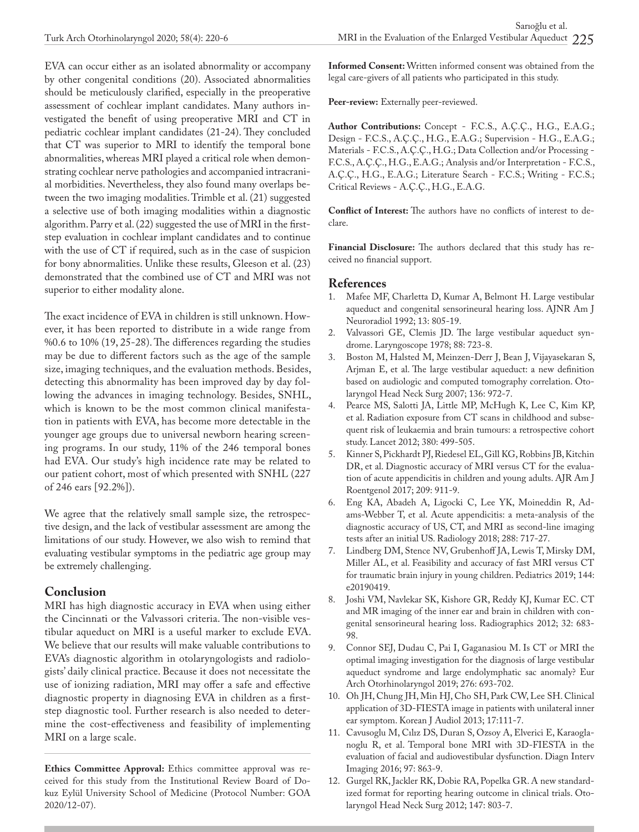EVA can occur either as an isolated abnormality or accompany by other congenital conditions (20). Associated abnormalities should be meticulously clarified, especially in the preoperative assessment of cochlear implant candidates. Many authors investigated the benefit of using preoperative MRI and CT in pediatric cochlear implant candidates (21-24). They concluded that CT was superior to MRI to identify the temporal bone abnormalities, whereas MRI played a critical role when demonstrating cochlear nerve pathologies and accompanied intracranial morbidities. Nevertheless, they also found many overlaps between the two imaging modalities. Trimble et al. (21) suggested a selective use of both imaging modalities within a diagnostic algorithm. Parry et al. (22) suggested the use of MRI in the firststep evaluation in cochlear implant candidates and to continue with the use of CT if required, such as in the case of suspicion for bony abnormalities. Unlike these results, Gleeson et al. (23) demonstrated that the combined use of CT and MRI was not superior to either modality alone.

The exact incidence of EVA in children is still unknown. However, it has been reported to distribute in a wide range from %0.6 to 10% (19, 25-28). The differences regarding the studies may be due to different factors such as the age of the sample size, imaging techniques, and the evaluation methods. Besides, detecting this abnormality has been improved day by day following the advances in imaging technology. Besides, SNHL, which is known to be the most common clinical manifestation in patients with EVA, has become more detectable in the younger age groups due to universal newborn hearing screening programs. In our study, 11% of the 246 temporal bones had EVA. Our study's high incidence rate may be related to our patient cohort, most of which presented with SNHL (227 of 246 ears [92.2%]).

We agree that the relatively small sample size, the retrospective design, and the lack of vestibular assessment are among the limitations of our study. However, we also wish to remind that evaluating vestibular symptoms in the pediatric age group may be extremely challenging.

### **Conclusion**

MRI has high diagnostic accuracy in EVA when using either the Cincinnati or the Valvassori criteria. The non-visible vestibular aqueduct on MRI is a useful marker to exclude EVA. We believe that our results will make valuable contributions to EVA's diagnostic algorithm in otolaryngologists and radiologists' daily clinical practice. Because it does not necessitate the use of ionizing radiation, MRI may offer a safe and effective diagnostic property in diagnosing EVA in children as a firststep diagnostic tool. Further research is also needed to determine the cost-effectiveness and feasibility of implementing MRI on a large scale.

**Ethics Committee Approval:** Ethics committee approval was received for this study from the Institutional Review Board of Dokuz Eylül University School of Medicine (Protocol Number: GOA 2020/12-07).

**Informed Consent:** Written informed consent was obtained from the legal care-givers of all patients who participated in this study.

**Peer-review:** Externally peer-reviewed.

**Author Contributions:** Concept - F.C.S., A.Ç.Ç., H.G., E.A.G.; Design - F.C.S., A.Ç.Ç., H.G., E.A.G.; Supervision - H.G., E.A.G.; Materials - F.C.S., A.Ç.Ç., H.G.; Data Collection and/or Processing - F.C.S., A.Ç.Ç., H.G., E.A.G.; Analysis and/or Interpretation - F.C.S., A.Ç.Ç., H.G., E.A.G.; Literature Search - F.C.S.; Writing - F.C.S.; Critical Reviews - A.Ç.Ç., H.G., E.A.G.

**Conflict of Interest:** The authors have no conflicts of interest to declare.

**Financial Disclosure:** The authors declared that this study has received no financial support.

### **References**

- 1. Mafee MF, Charletta D, Kumar A, Belmont H. Large vestibular aqueduct and congenital sensorineural hearing loss. AJNR Am J Neuroradiol 1992; 13: 805-19.
- 2. Valvassori GE, Clemis JD. The large vestibular aqueduct syndrome. Laryngoscope 1978; 88: 723-8.
- 3. Boston M, Halsted M, Meinzen-Derr J, Bean J, Vijayasekaran S, Arjman E, et al. The large vestibular aqueduct: a new definition based on audiologic and computed tomography correlation. Otolaryngol Head Neck Surg 2007; 136: 972-7.
- 4. Pearce MS, Salotti JA, Little MP, McHugh K, Lee C, Kim KP, et al. Radiation exposure from CT scans in childhood and subsequent risk of leukaemia and brain tumours: a retrospective cohort study. Lancet 2012; 380: 499-505.
- 5. Kinner S, Pickhardt PJ, Riedesel EL, Gill KG, Robbins JB, Kitchin DR, et al. Diagnostic accuracy of MRI versus CT for the evaluation of acute appendicitis in children and young adults. AJR Am J Roentgenol 2017; 209: 911-9.
- 6. Eng KA, Abadeh A, Ligocki C, Lee YK, Moineddin R, Adams-Webber T, et al. Acute appendicitis: a meta-analysis of the diagnostic accuracy of US, CT, and MRI as second-line imaging tests after an initial US. Radiology 2018; 288: 717-27.
- 7. Lindberg DM, Stence NV, Grubenhoff JA, Lewis T, Mirsky DM, Miller AL, et al. Feasibility and accuracy of fast MRI versus CT for traumatic brain injury in young children. Pediatrics 2019; 144: e20190419.
- 8. Joshi VM, Navlekar SK, Kishore GR, Reddy KJ, Kumar EC. CT and MR imaging of the inner ear and brain in children with congenital sensorineural hearing loss. Radiographics 2012; 32: 683- 98.
- 9. Connor SEJ, Dudau C, Pai I, Gaganasiou M. Is CT or MRI the optimal imaging investigation for the diagnosis of large vestibular aqueduct syndrome and large endolymphatic sac anomaly? Eur Arch Otorhinolaryngol 2019; 276: 693-702.
- 10. Oh JH, Chung JH, Min HJ, Cho SH, Park CW, Lee SH. Clinical application of 3D-FIESTA image in patients with unilateral inner ear symptom. Korean J Audiol 2013; 17:111-7.
- 11. Cavusoglu M, Cılız DS, Duran S, Ozsoy A, Elverici E, Karaoglanoglu R, et al. Temporal bone MRI with 3D-FIESTA in the evaluation of facial and audiovestibular dysfunction. Diagn Interv Imaging 2016; 97: 863-9.
- 12. Gurgel RK, Jackler RK, Dobie RA, Popelka GR. A new standardized format for reporting hearing outcome in clinical trials. Otolaryngol Head Neck Surg 2012; 147: 803-7.